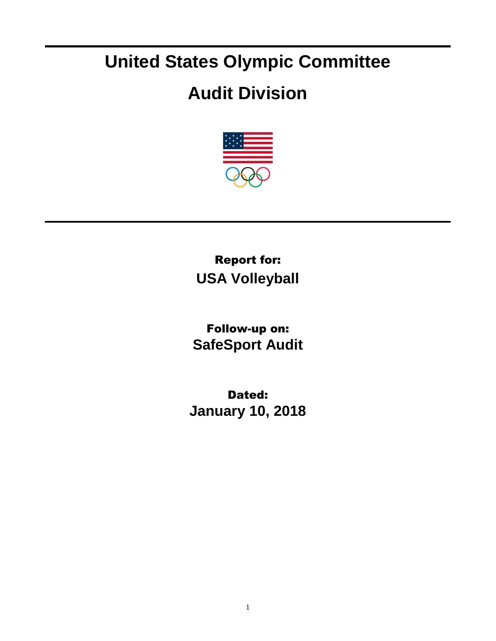## **United States Olympic Committee**

## **Audit Division**



Report for: **USA Volleyball**

Follow-up on: **SafeSport Audit**

Dated: **January 10, 2018**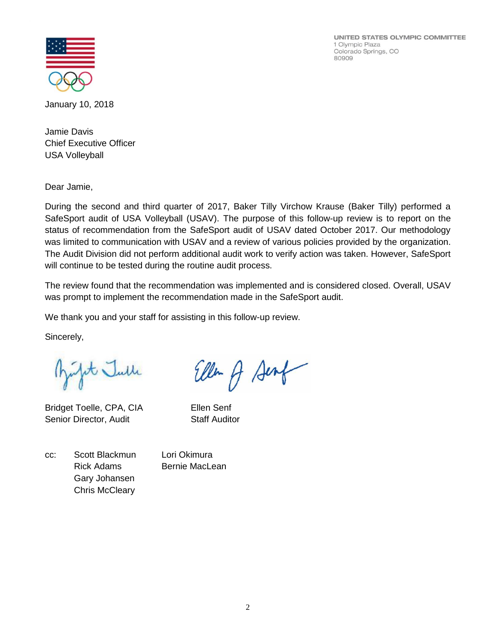UNITED STATES OLYMPIC COMMITTEE 1 Olympic Plaza Colorado Springs, CO 80909



January 10, 2018

Jamie Davis Chief Executive Officer USA Volleyball

Dear Jamie,

During the second and third quarter of 2017, Baker Tilly Virchow Krause (Baker Tilly) performed a SafeSport audit of USA Volleyball (USAV). The purpose of this follow-up review is to report on the status of recommendation from the SafeSport audit of USAV dated October 2017. Our methodology was limited to communication with USAV and a review of various policies provided by the organization. The Audit Division did not perform additional audit work to verify action was taken. However, SafeSport will continue to be tested during the routine audit process.

The review found that the recommendation was implemented and is considered closed. Overall, USAV was prompt to implement the recommendation made in the SafeSport audit.

We thank you and your staff for assisting in this follow-up review.

Sincerely,

Julit Julle

Bridget Toelle, CPA, CIA Ellen Senf Senior Director, Audit Staff Auditor

Ellen A Sent

cc: Scott Blackmun Lori Okimura Rick Adams Bernie MacLean Gary Johansen Chris McCleary